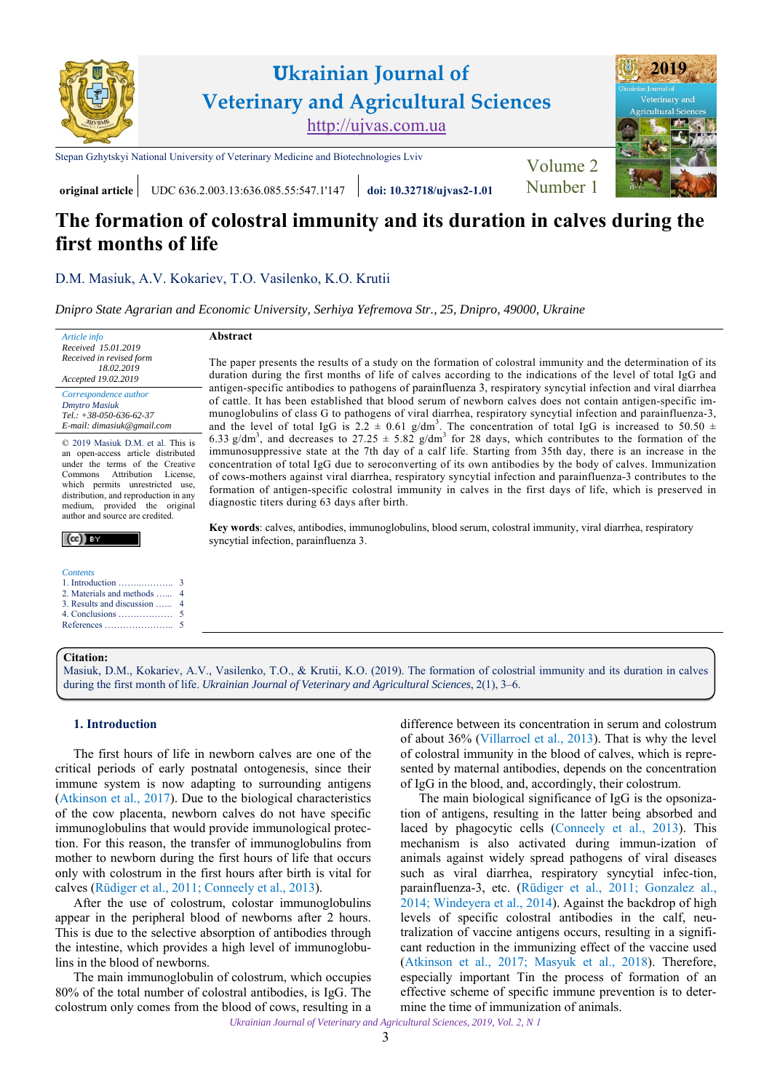

# **The formation of colostral immunity and its duration in calves during the first months of life**

[D.M. Masiuk,](http://orcid.org/0000-0002-2800-2580) [A.V. Kokariev](http://orcid.org/0000-0002-5673-5984), [T.O. Vasilenko](https://orcid.org/0000-0003-3430-868X), [K.O. Krutii](https://orcid.org/0000-0001-7105-3087)

*[Dnipro State Agrarian and Economic University, Serhiya Yefremova Str., 25, Dnipro, 49000, Ukraine](https://www.dsau.dp.ua)* 

*Article info Received 15.01.2019 Received in revised form 18.02.2019 Accepted 19.02.2019* 

*Correspondence author [Dmytro Masiuk](https://scholar.google.com.ua/citations?hl=uk&user=8rcJgR4AAAAJ)  Tel.: +38-050-636-62-37 E-mail: dimasiuk@gmail.com* 

© 2019 Masiuk D.M. et al. This is an open-access article distributed under the terms of the Creative Commons Attribution License, which permits unrestricted use, distribution, and reproduction in any medium, provided the original author and source are credited.

### $(cc)$  BY

| <i>Contents</i>             |  |
|-----------------------------|--|
|                             |  |
| 2. Materials and methods  4 |  |
|                             |  |
|                             |  |

[5](#page-2-0)

# **Abstract**

The paper presents the results of a study on the formation of colostral immunity and the determination of its duration during the first months of life of calves according to the indications of the level of total IgG and antigen-specific antibodies to pathogens of рarainfluenza 3, respiratory syncytial infection and viral diarrhea of cattle. It has been established that blood serum of newborn calves does not contain antigen-specific immunoglobulins of class G to pathogens of viral diarrhea, respiratory syncytial infection and parainfluenza-3, and the level of total IgG is 2.2  $\pm$  0.61 g/dm<sup>3</sup>. The concentration of total IgG is increased to 50.50  $\pm$ 6.33 g/dm<sup>3</sup>, and decreases to 27.25  $\pm$  5.82 g/dm<sup>3</sup> for 28 days, which contributes to the formation of the immunosuppressive state at the 7th day of a calf life. Starting from 35th day, there is an increase in the concentration of total IgG due to seroconverting of its own antibodies by the body of calves. Immunization of cows-mothers against viral diarrhea, respiratory syncytial infection and parainfluenza-3 contributes to the formation of antigen-specific colostral immunity in calves in the first days of life, which is preserved in diagnostic titers during 63 days after birth.

**Key words**: calves, antibodies, immunoglobulins, blood serum, colostral immunity, viral diarrhea, respiratory syncytial infection, рarainfluenza 3.

#### **Citation:**

[References …………………..](#page-2-0)

[Masiuk, D.M., Kokariev, A.V., Vasilenko, T.O., & Krutii, K.O. \(2019\). The formation of colostrial immunity and its duration in calves](https://doi.org/10.32718/ujvas2-1.01) during the first month of life. *Ukrainian Journal of Veterinary and Agricultural Sciences*, 2(1), 3–6.

# **1. Introduction**

The first hours of life in newborn calves are one of the critical periods of early postnatal ontogenesis, since their immune system is now adapting to surrounding antigens ([Atkinson et al., 2017](#page-2-0)). Due to the biological characteristics of the cow placenta, newborn calves do not have specific immunoglobulins that would provide immunological protection. For this reason, the transfer of immunoglobulins from mother to newborn during the first hours of life that occurs only with colostrum in the first hours after birth is vital for calves [\(Rüdiger et al., 2011;](#page-3-0) [Conneely et al., 2013](#page-2-0)).

After the use of colostrum, colostar immunoglobulins appear in the peripheral blood of newborns after 2 hours. This is due to the selective absorption of antibodies through the intestine, which provides a high level of immunoglobulins in the blood of newborns.

The main immunoglobulin of colostrum, which occupies 80% of the total number of colostral antibodies, is IgG. The colostrum only comes from the blood of cows, resulting in a

difference between its concentration in serum and colostrum of about 36% [\(Villarroel et al., 2013\)](#page-3-0). That is why the level of colostral immunity in the blood of calves, which is represented by maternal antibodies, depends on the concentration of IgG in the blood, and, accordingly, their colostrum.

The main biological significance of IgG is the opsonization of antigens, resulting in the latter being absorbed and laced by phagocytic cells [\(Conneely et al., 2013\)](#page-2-0). This mechanism is also activated during immun-ization of animals against widely spread pathogens of viral diseases such as viral diarrhea, respiratory syncytial infec-tion, parainfluenza-3, etc. [\(Rüdiger et al., 2011;](#page-3-0) [Gonzalez al.,](#page-3-0)  [2014](#page-3-0); [Windeyera et al., 2014](#page-3-0)). Against the backdrop of high levels of specific colostral antibodies in the calf, neutralization of vaccine antigens occurs, resulting in a significant reduction in the immunizing effect of the vaccine used [\(Atkinson et al., 2017](#page-2-0); [Masyuk et al., 2018\)](#page-3-0). Therefore, especially important Tin the process of formation of an effective scheme of specific immune prevention is to determine the time of immunization of animals.

*Ukrainian Journal of Veterinary and Agricultural Sciences, 2019, Vol. 2, N 1*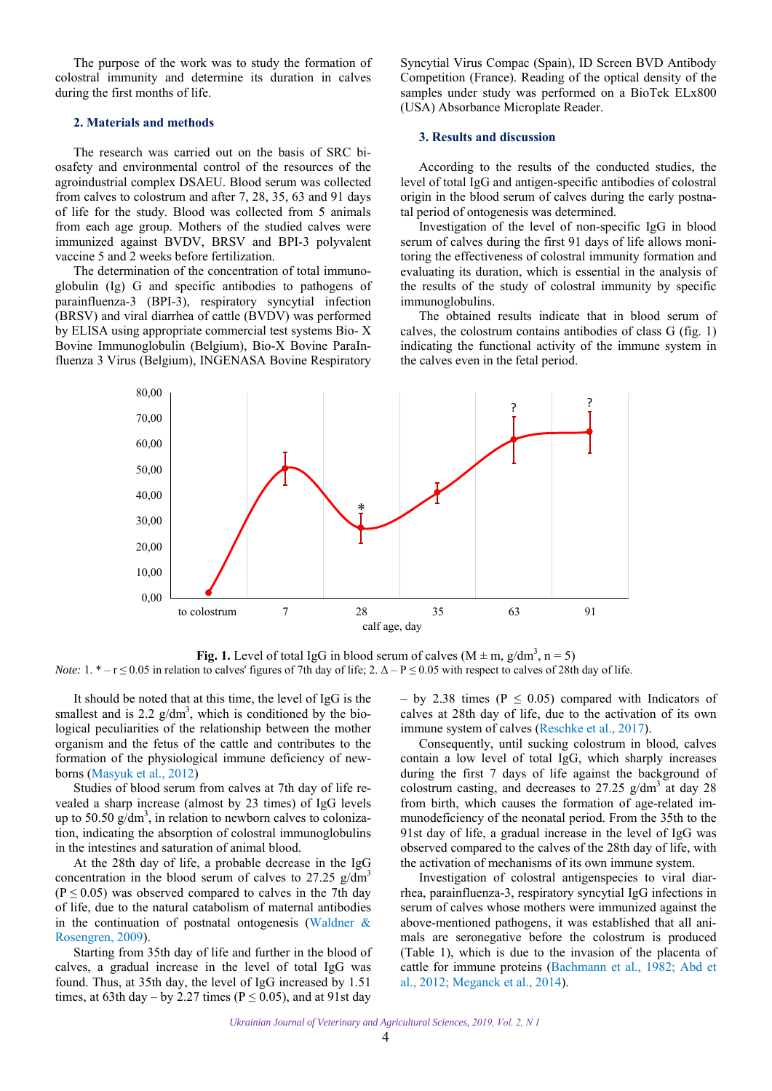<span id="page-1-0"></span>The purpose of the work was to study the formation of colostral immunity and determine its duration in calves during the first months of life.

# **2. Materials and methods**

The research was carried out on the basis of SRC biosafety and environmental control of the resources of the agroindustrial complex DSAEU. Blood serum was collected from calves to colostrum and after 7, 28, 35, 63 and 91 days of life for the study. Blood was collected from 5 animals from each age group. Mothers of the studied calves were immunized against BVDV, BRSV and BPI-3 polyvalent vaccine 5 and 2 weeks before fertilization.

The determination of the concentration of total immunoglobulin (Ig) G and specific antibodies to pathogens of parainfluenza-3 (BPI-3), respiratory syncytial infection (BRSV) and viral diarrhea of cattle (BVDV) was performed by ELISA using appropriate commercial test systems Bio- X Bovine Immunoglobulin (Belgium), Bio-X Bovine ParaInfluenza 3 Virus (Belgium), INGENASA Bovine Respiratory

Syncytial Virus Compac (Spain), ID Screen BVD Antibody Competition (France). Reading of the optical density of the samples under study was performed on a BioTek ELx800 (USA) Absorbance Microplate Reader.

#### **3. Results and discussion**

According to the results of the conducted studies, the level of total IgG and antigen-specific antibodies of colostral origin in the blood serum of calves during the early postnatal period of ontogenesis was determined.

Investigation of the level of non-specific IgG in blood serum of calves during the first 91 days of life allows monitoring the effectiveness of colostral immunity formation and evaluating its duration, which is essential in the analysis of the results of the study of colostral immunity by specific immunoglobulins.

The obtained results indicate that in blood serum of calves, the colostrum contains antibodies of class G (fig. 1) indicating the functional activity of the immune system in the calves even in the fetal period.



**Fig. 1.** Level of total IgG in blood serum of calves  $(M \pm m, g/dm^3, n = 5)$ *Note:*  $1. * - r \le 0.05$  in relation to calves' figures of 7th day of life;  $2. \Delta - P \le 0.05$  with respect to calves of 28th day of life.

It should be noted that at this time, the level of IgG is the smallest and is 2.2  $g/dm^3$ , which is conditioned by the biological peculiarities of the relationship between the mother organism and the fetus of the cattle and contributes to the formation of the physiological immune deficiency of newborns ([Masyuk et al., 2012\)](#page-3-0)

Studies of blood serum from calves at 7th day of life revealed a sharp increase (almost by 23 times) of IgG levels up to 50.50  $g/dm^3$ , in relation to newborn calves to colonization, indicating the absorption of colostral immunoglobulins in the intestines and saturation of animal blood.

At the 28th day of life, a probable decrease in the IgG concentration in the blood serum of calves to  $27.25$  g/dm<sup>3</sup>  $(P \le 0.05)$  was observed compared to calves in the 7th day of life, due to the natural catabolism of maternal antibodies in the continuation of postnatal ontogenesis ([Waldner &](#page-3-0) [Rosengren, 2009](#page-3-0)).

Starting from 35th day of life and further in the blood of calves, a gradual increase in the level of total IgG was found. Thus, at 35th day, the level of IgG increased by 1.51 times, at 63th day – by 2.27 times ( $P \le 0.05$ ), and at 91st day

– by 2.38 times ( $P \le 0.05$ ) compared with Indicators of calves at 28th day of life, due to the activation of its own immune system of calves [\(Reschke et al., 2017](#page-3-0)).

Consequently, until sucking colostrum in blood, calves contain a low level of total IgG, which sharply increases during the first 7 days of life against the background of colostrum casting, and decreases to  $27.25$  g/dm<sup>3</sup> at day 28 from birth, which causes the formation of age-related immunodeficiency of the neonatal period. From the 35th to the 91st day of life, a gradual increase in the level of IgG was observed compared to the calves of the 28th day of life, with the activation of mechanisms of its own immune system.

Investigation of colostral antigenspecies to viral diarrhea, parainfluenza-3, respiratory syncytial IgG infections in serum of calves whose mothers were immunized against the above-mentioned pathogens, it was established that all animals are seronegative before the colostrum is produced (Table 1), which is due to the invasion of the placenta of cattle for immune proteins [\(Bachmann et al., 1982](#page-2-0); [Abd et](#page-2-0)  [al., 2012;](#page-2-0) [Meganck et al., 2014](#page-3-0)).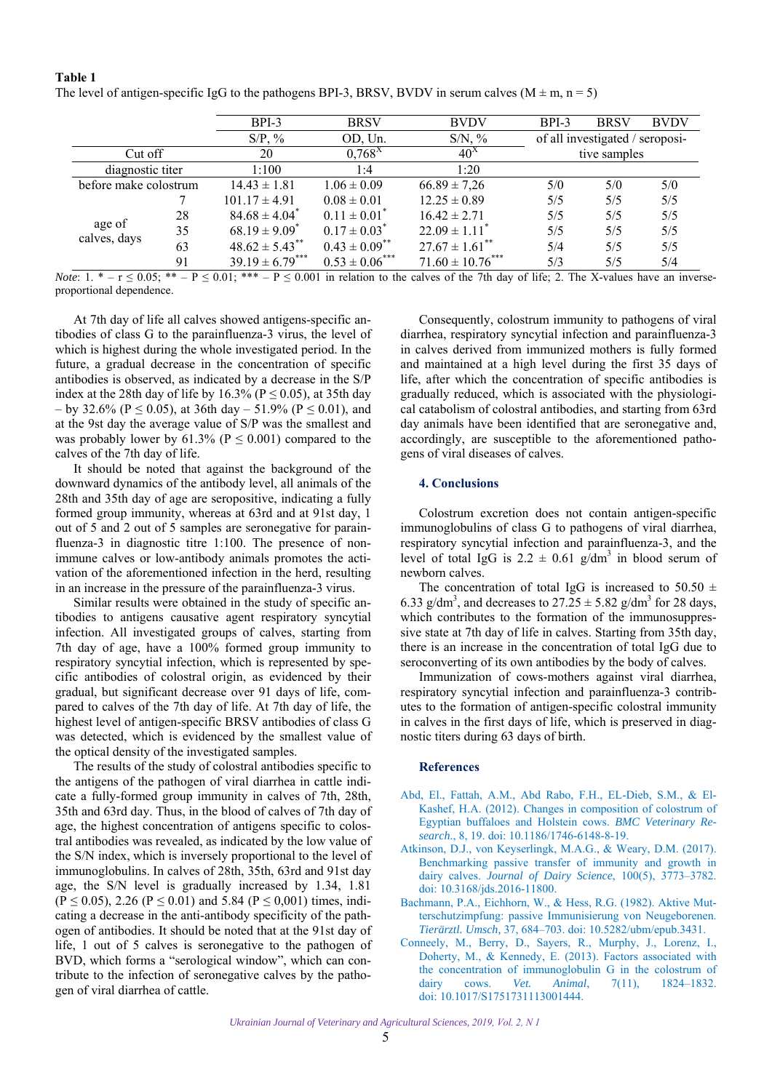#### <span id="page-2-0"></span>**Table 1**

| The level of antigen-specific IgG to the pathogens BPI-3, BRSV, BVDV in serum calves ( $M \pm m$ , $n = 5$ ) |  |
|--------------------------------------------------------------------------------------------------------------|--|
|                                                                                                              |  |

|                        |                       | $BPI-3$                       | <b>BRSV</b>         | <b>BVDV</b>                    | $BPI-3$      | <b>BRSV</b>                     | <b>BVDV</b> |
|------------------------|-----------------------|-------------------------------|---------------------|--------------------------------|--------------|---------------------------------|-------------|
|                        |                       | $S/P$ , %                     | OD, Un.             | $S/N$ , %                      |              | of all investigated / seroposi- |             |
| Cut off                |                       | 20                            | $0,768^X$           | $40^{\lambda}$                 | tive samples |                                 |             |
| diagnostic titer       |                       | 1:100                         | 1:4                 | 1:20                           |              |                                 |             |
|                        | before make colostrum |                               | $1.06 \pm 0.09$     | $66.89 \pm 7,26$               | 5/0          | 5/0                             | 5/0         |
| age of<br>calves, days |                       | $101.17 \pm 4.91$             | $0.08 \pm 0.01$     | $12.25 \pm 0.89$               | 5/5          | 5/5                             | 5/5         |
|                        | 28                    | $84.68 \pm 4.04$ <sup>*</sup> | $0.11 \pm 0.01^*$   | $16.42 \pm 2.71$               | 5/5          | 5/5                             | 5/5         |
|                        | 35                    | $68.19 \pm 9.09^*$            | $0.17 \pm 0.03^*$   | $22.09 \pm 1.11$ <sup>*</sup>  | 5/5          | 5/5                             | 5/5         |
|                        | 63                    | $48.62 \pm 5.43$ **           | $0.43 \pm 0.09$ **  | $27.67 \pm 1.61$ <sup>**</sup> | 5/4          | 5/5                             | 5/5         |
|                        | 91                    | $39.19 \pm 6.79***$           | $0.53 \pm 0.06$ *** | $71.60 \pm 10.76$ ***          | 5/3          | 5/5                             | 5/4         |

*Note*:  $1. * - r \le 0.05; ** - P \le 0.01; *** - P \le 0.001$  in relation to the calves of the 7th day of life; 2. The X-values have an inverseproportional dependence.

At 7th day of life all calves showed antigens-specific antibodies of class G to the parainfluenza-3 virus, the level of which is highest during the whole investigated period. In the future, a gradual decrease in the concentration of specific antibodies is observed, as indicated by a decrease in the S/P index at the 28th day of life by 16.3% ( $P \le 0.05$ ), at 35th day – by 32.6% ( $P \le 0.05$ ), at 36th day – 51.9% ( $P \le 0.01$ ), and at the 9st day the average value of S/P was the smallest and was probably lower by  $61.3\%$  (P  $\leq$  0.001) compared to the calves of the 7th day of life.

It should be noted that against the background of the downward dynamics of the antibody level, all animals of the 28th and 35th day of age are seropositive, indicating a fully formed group immunity, whereas at 63rd and at 91st day, 1 out of 5 and 2 out of 5 samples are seronegative for parainfluenza-3 in diagnostic titre 1:100. The presence of nonimmune calves or low-antibody animals promotes the activation of the aforementioned infection in the herd, resulting in an increase in the pressure of the parainfluenza-3 virus.

Similar results were obtained in the study of specific antibodies to antigens causative agent respiratory syncytial infection. All investigated groups of calves, starting from 7th day of age, have a 100% formed group immunity to respiratory syncytial infection, which is represented by specific antibodies of colostral origin, as evidenced by their gradual, but significant decrease over 91 days of life, compared to calves of the 7th day of life. At 7th day of life, the highest level of antigen-specific BRSV antibodies of class G was detected, which is evidenced by the smallest value of the optical density of the investigated samples.

The results of the study of colostral antibodies specific to the antigens of the pathogen of viral diarrhea in cattle indicate a fully-formed group immunity in calves of 7th, 28th, 35th and 63rd day. Thus, in the blood of calves of 7th day of age, the highest concentration of antigens specific to colostral antibodies was revealed, as indicated by the low value of the S/N index, which is inversely proportional to the level of immunoglobulins. In calves of 28th, 35th, 63rd and 91st day age, the S/N level is gradually increased by 1.34, 1.81  $(P \le 0.05)$ , 2.26  $(P \le 0.01)$  and 5.84  $(P \le 0.001)$  times, indicating a decrease in the anti-antibody specificity of the pathogen of antibodies. It should be noted that at the 91st day of life, 1 out of 5 calves is seronegative to the pathogen of BVD, which forms a "serological window", which can contribute to the infection of seronegative calves by the pathogen of viral diarrhea of cattle.

Consequently, colostrum immunity to pathogens of viral diarrhea, respiratory syncytial infection and parainfluenza-3 in calves derived from immunized mothers is fully formed and maintained at a high level during the first 35 days of life, after which the concentration of specific antibodies is gradually reduced, which is associated with the physiological catabolism of colostral antibodies, and starting from 63rd day animals have been identified that are seronegative and, accordingly, are susceptible to the aforementioned pathogens of viral diseases of calves.

# **4. Conclusions**

Colostrum excretion does not contain antigen-specific immunoglobulins of class G to pathogens of viral diarrhea, respiratory syncytial infection and parainfluenza-3, and the level of total IgG is  $2.2 \pm 0.61$  g/dm<sup>3</sup> in blood serum of newborn calves.

The concentration of total IgG is increased to 50.50  $\pm$ 6.33 g/dm<sup>3</sup>, and decreases to  $27.25 \pm 5.82$  g/dm<sup>3</sup> for 28 days, which contributes to the formation of the immunosuppressive state at 7th day of life in calves. Starting from 35th day, there is an increase in the concentration of total IgG due to seroconverting of its own antibodies by the body of calves.

Immunization of cows-mothers against viral diarrhea, respiratory syncytial infection and parainfluenza-3 contributes to the formation of antigen-specific colostral immunity in calves in the first days of life, which is preserved in diagnostic titers during 63 days of birth.

#### **References**

- [Abd, El., Fattah, A.M., Abd Rabo, F.H., EL-Dieb, S.M., & El-](https://doi.org/10.1186/1746-6148-8-19)Kashef, H.A. (2012). Changes in composition of colostrum of Egyptian buffaloes and Holstein cows. *BMC Veterinary Research*., 8, 19. doi: 10.1186/1746-6148-8-19.
- [Atkinson, D.J., von Keyserlingk, M.A.G., & Weary, D.M. \(2017\).](https://doi.org/10.3168/jds.2016-11800)  Benchmarking passive transfer of immunity and growth in dairy calves. *Journal of Dairy Science*, 100(5), 3773–3782. doi: 10.3168/jds.2016-11800.
- [Bachmann, P.A., Eichhorn, W., & Hess, R.G. \(1982\). Aktive Mut](https://doi.org/10.5282/ubm/epub.3431)terschutzimpfung: passive Immunisierung von Neugeborenen. *Tierärztl. Umsch,* 37, 684–703. doi: 10.5282/ubm/epub.3431.
- [Conneely, M., Berry, D., Sayers, R., Murphy, J., Lorenz, I.,](https://doi.org/10.1017/S1751731113001444)  Doherty, M., & Kennedy, E. (2013). Factors associated with the concentration of immunoglobulin G in the colostrum of dairy cows. *Vet. Animal*, 7(11), 1824–1832. doi: 10.1017/S1751731113001444.